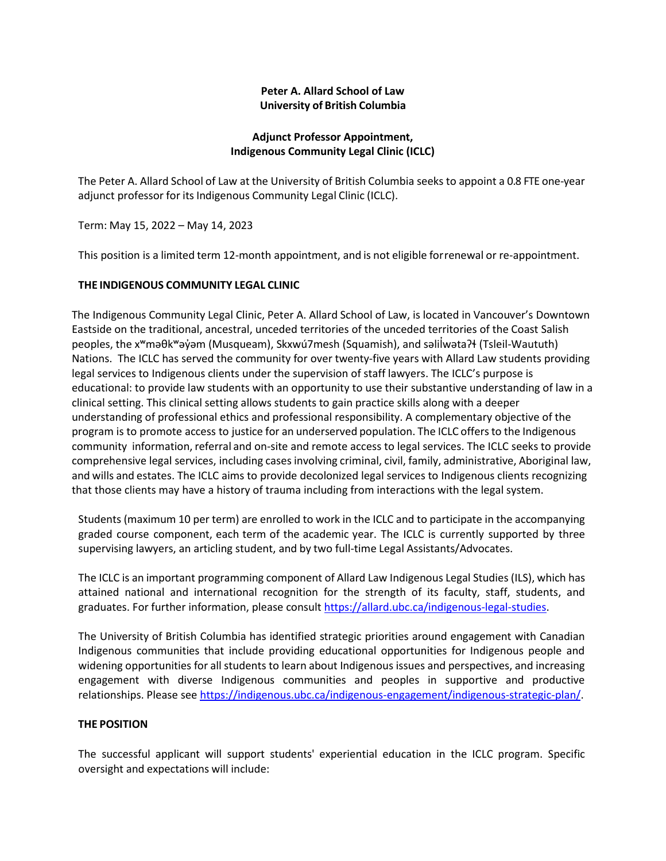# **Peter A. Allard School of Law University of British Columbia**

## **Adjunct Professor Appointment, Indigenous Community Legal Clinic (ICLC)**

The Peter A. Allard School of Law at the University of British Columbia seeks to appoint a 0.8 FTE one-year adjunct professor for its Indigenous Community Legal Clinic (ICLC).

Term: May 15, 2022 – May 14, 2023

This position is a limited term 12-month appointment, and is not eligible for renewal or re-appointment.

## **THE INDIGENOUS COMMUNITY LEGAL CLINIC**

The Indigenous Community Legal Clinic, Peter A. Allard School of Law, is located in Vancouver's Downtown Eastside on the traditional, ancestral, unceded territories of the unceded territories of the Coast Salish peoples, the xʷməθkʷəyəm (Musqueam), Skxwú7mesh ̓ (Squamish), and səlilwətaʔɬ (Tsleil ̓ -Waututh) Nations. The ICLC has served the community for over twenty-five years with Allard Law students providing legal services to Indigenous clients under the supervision of staff lawyers. The ICLC's purpose is educational: to provide law students with an opportunity to use their substantive understanding of law in a clinical setting. This clinical setting allows students to gain practice skills along with a deeper understanding of professional ethics and professional responsibility. A complementary objective of the program is to promote access to justice for an underserved population. The ICLC offers to the Indigenous community information, referral and on-site and remote access to legal services. The ICLC seeks to provide comprehensive legal services, including cases involving criminal, civil, family, administrative, Aboriginal law, and wills and estates. The ICLC aims to provide decolonized legal services to Indigenous clients recognizing that those clients may have a history of trauma including from interactions with the legal system.

Students (maximum 10 per term) are enrolled to work in the ICLC and to participate in the accompanying graded course component, each term of the academic year. The ICLC is currently supported by three supervising lawyers, an articling student, and by two full-time Legal Assistants/Advocates.

The ICLC is an important programming component of Allard Law Indigenous Legal Studies (ILS), which has attained national and international recognition for the strength of its faculty, staff, students, and graduates. For further information, please consult [https://allard.ubc.ca/indigenous-legal-studies.](https://allard.ubc.ca/indigenous-legal-studies)

The University of British Columbia has identified strategic priorities around engagement with Canadian Indigenous communities that include providing educational opportunities for Indigenous people and widening opportunities for all students to learn about Indigenous issues and perspectives, and increasing engagement with diverse Indigenous communities and peoples in supportive and productive relationships. Please se[e https://indigenous.ubc.ca/indigenous-engagement/indigenous-strategic-plan/.](https://indigenous.ubc.ca/indigenous-engagement/indigenous-strategic-plan/)

## **THE POSITION**

The successful applicant will support students' experiential education in the ICLC program. Specific oversight and expectations will include: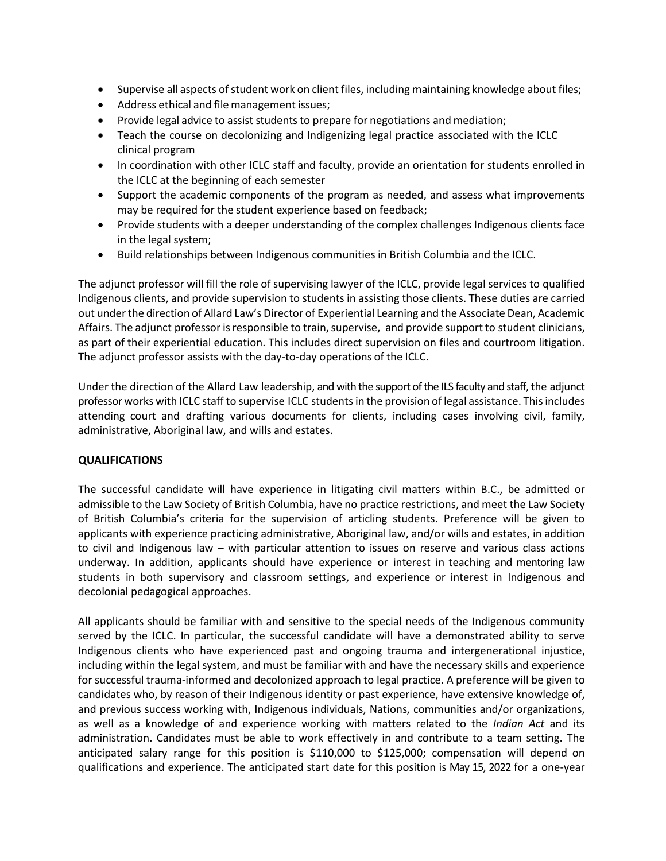- Supervise all aspects of student work on client files, including maintaining knowledge about files;
- Address ethical and file management issues;
- Provide legal advice to assist students to prepare for negotiations and mediation;
- Teach the course on decolonizing and Indigenizing legal practice associated with the ICLC clinical program
- In coordination with other ICLC staff and faculty, provide an orientation for students enrolled in the ICLC at the beginning of each semester
- Support the academic components of the program as needed, and assess what improvements may be required for the student experience based on feedback;
- Provide students with a deeper understanding of the complex challenges Indigenous clients face in the legal system;
- Build relationships between Indigenous communities in British Columbia and the ICLC.

The adjunct professor will fill the role of supervising lawyer of the ICLC, provide legal services to qualified Indigenous clients, and provide supervision to students in assisting those clients. These duties are carried out under the direction of Allard Law's Director of Experiential Learning and the Associate Dean, Academic Affairs. The adjunct professor is responsible to train, supervise, and provide support to student clinicians, as part of their experiential education. This includes direct supervision on files and courtroom litigation. The adjunct professor assists with the day-to-day operations of the ICLC.

Under the direction of the Allard Law leadership, and with the support of the ILS faculty and staff, the adjunct professor works with ICLC staff to supervise ICLC studentsin the provision of legal assistance. Thisincludes attending court and drafting various documents for clients, including cases involving civil, family, administrative, Aboriginal law, and wills and estates.

## **QUALIFICATIONS**

The successful candidate will have experience in litigating civil matters within B.C., be admitted or admissible to the Law Society of British Columbia, have no practice restrictions, and meet the Law Society of British Columbia's criteria for the supervision of articling students. Preference will be given to applicants with experience practicing administrative, Aboriginal law, and/or wills and estates, in addition to civil and Indigenous law – with particular attention to issues on reserve and various class actions underway. In addition, applicants should have experience or interest in teaching and mentoring law students in both supervisory and classroom settings, and experience or interest in Indigenous and decolonial pedagogical approaches.

All applicants should be familiar with and sensitive to the special needs of the Indigenous community served by the ICLC. In particular, the successful candidate will have a demonstrated ability to serve Indigenous clients who have experienced past and ongoing trauma and intergenerational injustice, including within the legal system, and must be familiar with and have the necessary skills and experience for successful trauma-informed and decolonized approach to legal practice. A preference will be given to candidates who, by reason of their Indigenous identity or past experience, have extensive knowledge of, and previous success working with, Indigenous individuals, Nations, communities and/or organizations, as well as a knowledge of and experience working with matters related to the *Indian Act* and its administration. Candidates must be able to work effectively in and contribute to a team setting. The anticipated salary range for this position is \$110,000 to \$125,000; compensation will depend on qualifications and experience. The anticipated start date for this position is May 15, 2022 for a one-year